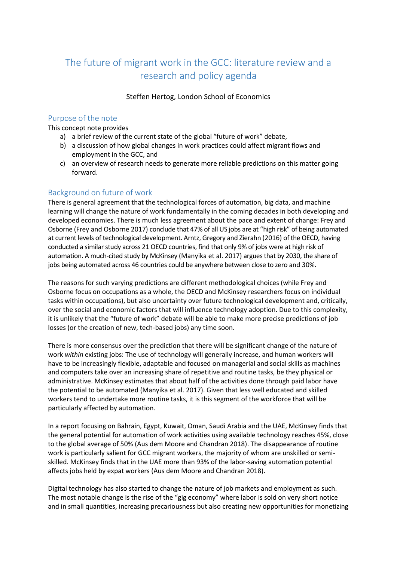# The future of migrant work in the GCC: literature review and a research and policy agenda

### Steffen Hertog, London School of Economics

# Purpose of the note

This concept note provides

- a) a brief review of the current state of the global "future of work" debate,
- b) a discussion of how global changes in work practices could affect migrant flows and employment in the GCC, and
- c) an overview of research needs to generate more reliable predictions on this matter going forward.

# Background on future of work

There is general agreement that the technological forces of automation, big data, and machine learning will change the nature of work fundamentally in the coming decades in both developing and developed economies. There is much less agreement about the pace and extent of change: Frey and Osborne (Frey and Osborne 2017) conclude that 47% of all US jobs are at "high risk" of being automated at current levels of technological development. Arntz, Gregory and Zierahn (2016) of the OECD, having conducted a similar study across 21 OECD countries, find that only 9% of jobs were at high risk of automation. A much-cited study by McKinsey (Manyika et al. 2017) argues that by 2030, the share of jobs being automated across 46 countries could be anywhere between close to zero and 30%.

The reasons for such varying predictions are different methodological choices (while Frey and Osborne focus on occupations as a whole, the OECD and McKinsey researchers focus on individual tasks within occupations), but also uncertainty over future technological development and, critically, over the social and economic factors that will influence technology adoption. Due to this complexity, it is unlikely that the "future of work" debate will be able to make more precise predictions of job losses (or the creation of new, tech-based jobs) any time soon.

There is more consensus over the prediction that there will be significant change of the nature of work *within* existing jobs: The use of technology will generally increase, and human workers will have to be increasingly flexible, adaptable and focused on managerial and social skills as machines and computers take over an increasing share of repetitive and routine tasks, be they physical or administrative. McKinsey estimates that about half of the activities done through paid labor have the potential to be automated (Manyika et al. 2017). Given that less well educated and skilled workers tend to undertake more routine tasks, it is this segment of the workforce that will be particularly affected by automation.

In a report focusing on Bahrain, Egypt, Kuwait, Oman, Saudi Arabia and the UAE, McKinsey finds that the general potential for automation of work activities using available technology reaches 45%, close to the global average of 50% (Aus dem Moore and Chandran 2018). The disappearance of routine work is particularly salient for GCC migrant workers, the majority of whom are unskilled or semiskilled. McKinsey finds that in the UAE more than 93% of the labor-saving automation potential affects jobs held by expat workers (Aus dem Moore and Chandran 2018).

Digital technology has also started to change the nature of job markets and employment as such. The most notable change is the rise of the "gig economy" where labor is sold on very short notice and in small quantities, increasing precariousness but also creating new opportunities for monetizing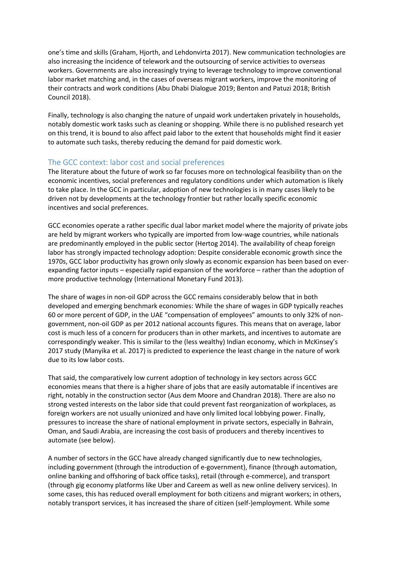one's time and skills (Graham, Hjorth, and Lehdonvirta 2017). New communication technologies are also increasing the incidence of telework and the outsourcing of service activities to overseas workers. Governments are also increasingly trying to leverage technology to improve conventional labor market matching and, in the cases of overseas migrant workers, improve the monitoring of their contracts and work conditions (Abu Dhabi Dialogue 2019; Benton and Patuzi 2018; British Council 2018).

Finally, technology is also changing the nature of unpaid work undertaken privately in households, notably domestic work tasks such as cleaning or shopping. While there is no published research yet on this trend, it is bound to also affect paid labor to the extent that households might find it easier to automate such tasks, thereby reducing the demand for paid domestic work.

# The GCC context: labor cost and social preferences

The literature about the future of work so far focuses more on technological feasibility than on the economic incentives, social preferences and regulatory conditions under which automation is likely to take place. In the GCC in particular, adoption of new technologies is in many cases likely to be driven not by developments at the technology frontier but rather locally specific economic incentives and social preferences.

GCC economies operate a rather specific dual labor market model where the majority of private jobs are held by migrant workers who typically are imported from low-wage countries, while nationals are predominantly employed in the public sector (Hertog 2014). The availability of cheap foreign labor has strongly impacted technology adoption: Despite considerable economic growth since the 1970s, GCC labor productivity has grown only slowly as economic expansion has been based on everexpanding factor inputs – especially rapid expansion of the workforce – rather than the adoption of more productive technology (International Monetary Fund 2013).

The share of wages in non-oil GDP across the GCC remains considerably below that in both developed and emerging benchmark economies: While the share of wages in GDP typically reaches 60 or more percent of GDP, in the UAE "compensation of employees" amounts to only 32% of nongovernment, non-oil GDP as per 2012 national accounts figures. This means that on average, labor cost is much less of a concern for producers than in other markets, and incentives to automate are correspondingly weaker. This is similar to the (less wealthy) Indian economy, which in McKinsey's 2017 study (Manyika et al. 2017) is predicted to experience the least change in the nature of work due to its low labor costs.

That said, the comparatively low current adoption of technology in key sectors across GCC economies means that there is a higher share of jobs that are easily automatable if incentives are right, notably in the construction sector (Aus dem Moore and Chandran 2018). There are also no strong vested interests on the labor side that could prevent fast reorganization of workplaces, as foreign workers are not usually unionized and have only limited local lobbying power. Finally, pressures to increase the share of national employment in private sectors, especially in Bahrain, Oman, and Saudi Arabia, are increasing the cost basis of producers and thereby incentives to automate (see below).

A number of sectors in the GCC have already changed significantly due to new technologies, including government (through the introduction of e-government), finance (through automation, online banking and offshoring of back office tasks), retail (through e-commerce), and transport (through gig economy platforms like Uber and Careem as well as new online delivery services). In some cases, this has reduced overall employment for both citizens and migrant workers; in others, notably transport services, it has increased the share of citizen (self-)employment. While some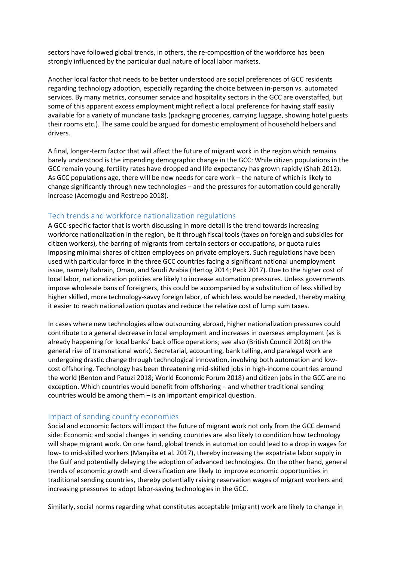sectors have followed global trends, in others, the re-composition of the workforce has been strongly influenced by the particular dual nature of local labor markets.

Another local factor that needs to be better understood are social preferences of GCC residents regarding technology adoption, especially regarding the choice between in-person vs. automated services. By many metrics, consumer service and hospitality sectors in the GCC are overstaffed, but some of this apparent excess employment might reflect a local preference for having staff easily available for a variety of mundane tasks (packaging groceries, carrying luggage, showing hotel guests their rooms etc.). The same could be argued for domestic employment of household helpers and drivers.

A final, longer-term factor that will affect the future of migrant work in the region which remains barely understood is the impending demographic change in the GCC: While citizen populations in the GCC remain young, fertility rates have dropped and life expectancy has grown rapidly (Shah 2012). As GCC populations age, there will be new needs for care work – the nature of which is likely to change significantly through new technologies – and the pressures for automation could generally increase (Acemoglu and Restrepo 2018).

# Tech trends and workforce nationalization regulations

A GCC-specific factor that is worth discussing in more detail is the trend towards increasing workforce nationalization in the region, be it through fiscal tools (taxes on foreign and subsidies for citizen workers), the barring of migrants from certain sectors or occupations, or quota rules imposing minimal shares of citizen employees on private employers. Such regulations have been used with particular force in the three GCC countries facing a significant national unemployment issue, namely Bahrain, Oman, and Saudi Arabia (Hertog 2014; Peck 2017). Due to the higher cost of local labor, nationalization policies are likely to increase automation pressures. Unless governments impose wholesale bans of foreigners, this could be accompanied by a substitution of less skilled by higher skilled, more technology-savvy foreign labor, of which less would be needed, thereby making it easier to reach nationalization quotas and reduce the relative cost of lump sum taxes.

In cases where new technologies allow outsourcing abroad, higher nationalization pressures could contribute to a general decrease in local employment and increases in overseas employment (as is already happening for local banks' back office operations; see also (British Council 2018) on the general rise of transnational work). Secretarial, accounting, bank telling, and paralegal work are undergoing drastic change through technological innovation, involving both automation and lowcost offshoring. Technology has been threatening mid-skilled jobs in high-income countries around the world (Benton and Patuzi 2018; World Economic Forum 2018) and citizen jobs in the GCC are no exception. Which countries would benefit from offshoring – and whether traditional sending countries would be among them – is an important empirical question.

#### Impact of sending country economies

Social and economic factors will impact the future of migrant work not only from the GCC demand side: Economic and social changes in sending countries are also likely to condition how technology will shape migrant work. On one hand, global trends in automation could lead to a drop in wages for low- to mid-skilled workers (Manyika et al. 2017), thereby increasing the expatriate labor supply in the Gulf and potentially delaying the adoption of advanced technologies. On the other hand, general trends of economic growth and diversification are likely to improve economic opportunities in traditional sending countries, thereby potentially raising reservation wages of migrant workers and increasing pressures to adopt labor-saving technologies in the GCC.

Similarly, social norms regarding what constitutes acceptable (migrant) work are likely to change in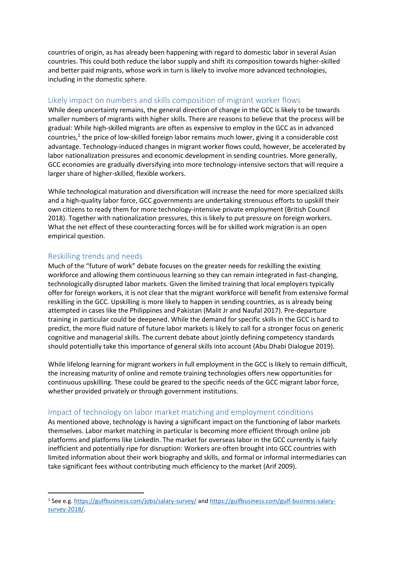countries of origin, as has already been happening with regard to domestic labor in several Asian countries. This could both reduce the labor supply and shift its composition towards higher-skilled and better paid migrants, whose work in turn is likely to involve more advanced technologies, including in the domestic sphere.

# Likely impact on numbers and skills composition of migrant worker flows

While deep uncertainty remains, the general direction of change in the GCC is likely to be towards smaller numbers of migrants with higher skills. There are reasons to believe that the process will be gradual: While high-skilled migrants are often as expensive to employ in the GCC as in advanced countries,<sup>1</sup> the price of low-skilled foreign labor remains much lower, giving it a considerable cost advantage. Technology-induced changes in migrant worker flows could, however, be accelerated by labor nationalization pressures and economic development in sending countries. More generally, GCC economies are gradually diversifying into more technology-intensive sectors that will require a larger share of higher-skilled, flexible workers.

While technological maturation and diversification will increase the need for more specialized skills and a high-quality labor force, GCC governments are undertaking strenuous efforts to upskill their own citizens to ready them for more technology-intensive private employment (British Council 2018). Together with nationalization pressures, this is likely to put pressure on foreign workers. What the net effect of these counteracting forces will be for skilled work migration is an open empirical question.

# Reskilling trends and needs

-

Much of the "future of work" debate focuses on the greater needs for reskilling the existing workforce and allowing them continuous learning so they can remain integrated in fast-changing, technologically disrupted labor markets. Given the limited training that local employers typically offer for foreign workers, it is not clear that the migrant workforce will benefit from extensive formal reskilling in the GCC. Upskilling is more likely to happen in sending countries, as is already being attempted in cases like the Philippines and Pakistan (Malit Jr and Naufal 2017). Pre-departure training in particular could be deepened. While the demand for specific skills in the GCC is hard to predict, the more fluid nature of future labor markets is likely to call for a stronger focus on generic cognitive and managerial skills. The current debate about jointly defining competency standards should potentially take this importance of general skills into account (Abu Dhabi Dialogue 2019).

While lifelong learning for migrant workers in full employment in the GCC is likely to remain difficult, the increasing maturity of online and remote training technologies offers new opportunities for continuous upskilling. These could be geared to the specific needs of the GCC migrant labor force, whether provided privately or through government institutions.

# Impact of technology on labor market matching and employment conditions

As mentioned above, technology is having a significant impact on the functioning of labor markets themselves. Labor market matching in particular is becoming more efficient through online job platforms and platforms like LinkedIn. The market for overseas labor in the GCC currently is fairly inefficient and potentially ripe for disruption: Workers are often brought into GCC countries with limited information about their work biography and skills, and formal or informal intermediaries can take significant fees without contributing much efficiency to the market (Arif 2009).

<sup>&</sup>lt;sup>1</sup> See e.g.<https://gulfbusiness.com/jobs/salary-survey/> an[d https://gulfbusiness.com/gulf-business-salary](https://gulfbusiness.com/gulf-business-salary-survey-2018/)[survey-2018/.](https://gulfbusiness.com/gulf-business-salary-survey-2018/)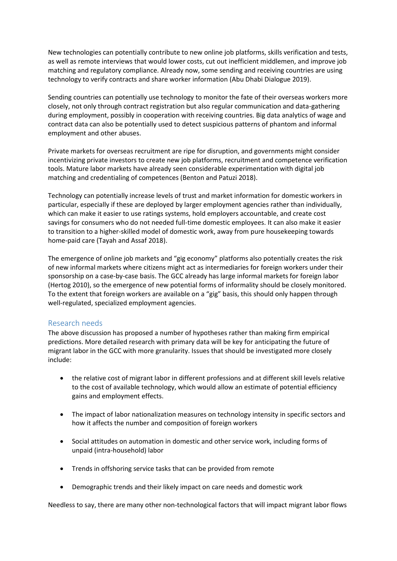New technologies can potentially contribute to new online job platforms, skills verification and tests, as well as remote interviews that would lower costs, cut out inefficient middlemen, and improve job matching and regulatory compliance. Already now, some sending and receiving countries are using technology to verify contracts and share worker information (Abu Dhabi Dialogue 2019).

Sending countries can potentially use technology to monitor the fate of their overseas workers more closely, not only through contract registration but also regular communication and data-gathering during employment, possibly in cooperation with receiving countries. Big data analytics of wage and contract data can also be potentially used to detect suspicious patterns of phantom and informal employment and other abuses.

Private markets for overseas recruitment are ripe for disruption, and governments might consider incentivizing private investors to create new job platforms, recruitment and competence verification tools. Mature labor markets have already seen considerable experimentation with digital job matching and credentialing of competences (Benton and Patuzi 2018).

Technology can potentially increase levels of trust and market information for domestic workers in particular, especially if these are deployed by larger employment agencies rather than individually, which can make it easier to use ratings systems, hold employers accountable, and create cost savings for consumers who do not needed full-time domestic employees. It can also make it easier to transition to a higher-skilled model of domestic work, away from pure housekeeping towards home-paid care (Tayah and Assaf 2018).

The emergence of online job markets and "gig economy" platforms also potentially creates the risk of new informal markets where citizens might act as intermediaries for foreign workers under their sponsorship on a case-by-case basis. The GCC already has large informal markets for foreign labor (Hertog 2010), so the emergence of new potential forms of informality should be closely monitored. To the extent that foreign workers are available on a "gig" basis, this should only happen through well-regulated, specialized employment agencies.

# Research needs

The above discussion has proposed a number of hypotheses rather than making firm empirical predictions. More detailed research with primary data will be key for anticipating the future of migrant labor in the GCC with more granularity. Issues that should be investigated more closely include:

- the relative cost of migrant labor in different professions and at different skill levels relative to the cost of available technology, which would allow an estimate of potential efficiency gains and employment effects.
- The impact of labor nationalization measures on technology intensity in specific sectors and how it affects the number and composition of foreign workers
- Social attitudes on automation in domestic and other service work, including forms of unpaid (intra-household) labor
- Trends in offshoring service tasks that can be provided from remote
- Demographic trends and their likely impact on care needs and domestic work

Needless to say, there are many other non-technological factors that will impact migrant labor flows